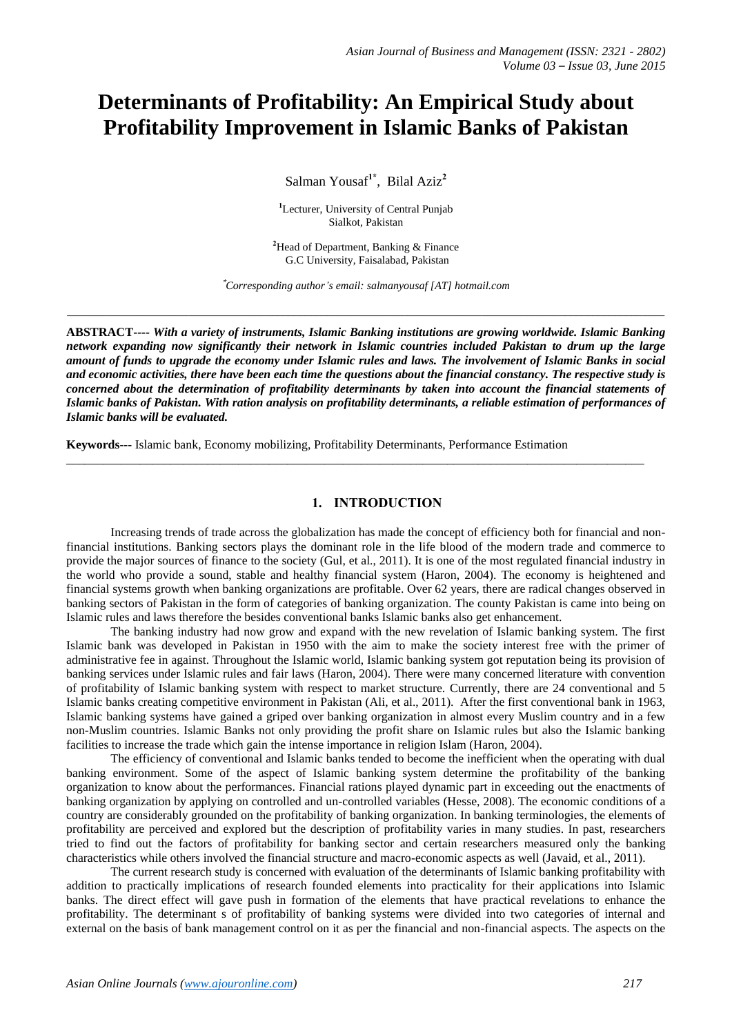# **Determinants of Profitability: An Empirical Study about Profitability Improvement in Islamic Banks of Pakistan**

Salman Yousaf**1\*** , Bilal Aziz**<sup>2</sup>**

**<sup>1</sup>**Lecturer, University of Central Punjab Sialkot, Pakistan

**<sup>2</sup>**Head of Department, Banking & Finance G.C University, Faisalabad, Pakistan

**\****Corresponding author's email: salmanyousaf [AT] hotmail.com*

*\_\_\_\_\_\_\_\_\_\_\_\_\_\_\_\_\_\_\_\_\_\_\_\_\_\_\_\_\_\_\_\_\_\_\_\_\_\_\_\_\_\_\_\_\_\_\_\_\_\_\_\_\_\_\_\_\_\_\_\_\_\_\_\_\_\_\_\_\_\_\_\_\_\_\_\_\_\_\_\_\_\_\_\_\_\_\_\_\_\_\_\_\_\_\_\_\_\_\_\_\_\_\_\_\_\_\_\_*

**ABSTRACT----** *With a variety of instruments, Islamic Banking institutions are growing worldwide. Islamic Banking network expanding now significantly their network in Islamic countries included Pakistan to drum up the large amount of funds to upgrade the economy under Islamic rules and laws. The involvement of Islamic Banks in social and economic activities, there have been each time the questions about the financial constancy. The respective study is concerned about the determination of profitability determinants by taken into account the financial statements of Islamic banks of Pakistan. With ration analysis on profitability determinants, a reliable estimation of performances of Islamic banks will be evaluated.* 

\_\_\_\_\_\_\_\_\_\_\_\_\_\_\_\_\_\_\_\_\_\_\_\_\_\_\_\_\_\_\_\_\_\_\_\_\_\_\_\_\_\_\_\_\_\_\_\_\_\_\_\_\_\_\_\_\_\_\_\_\_\_\_\_\_\_\_\_\_\_\_\_\_\_\_\_\_\_\_\_\_\_\_\_\_\_\_\_\_\_\_\_\_\_

**Keywords---** Islamic bank, Economy mobilizing, Profitability Determinants, Performance Estimation

## **1. INTRODUCTION**

Increasing trends of trade across the globalization has made the concept of efficiency both for financial and nonfinancial institutions. Banking sectors plays the dominant role in the life blood of the modern trade and commerce to provide the major sources of finance to the society (Gul, et al., 2011). It is one of the most regulated financial industry in the world who provide a sound, stable and healthy financial system (Haron, 2004). The economy is heightened and financial systems growth when banking organizations are profitable. Over 62 years, there are radical changes observed in banking sectors of Pakistan in the form of categories of banking organization. The county Pakistan is came into being on Islamic rules and laws therefore the besides conventional banks Islamic banks also get enhancement.

The banking industry had now grow and expand with the new revelation of Islamic banking system. The first Islamic bank was developed in Pakistan in 1950 with the aim to make the society interest free with the primer of administrative fee in against. Throughout the Islamic world, Islamic banking system got reputation being its provision of banking services under Islamic rules and fair laws (Haron, 2004). There were many concerned literature with convention of profitability of Islamic banking system with respect to market structure. Currently, there are 24 conventional and 5 Islamic banks creating competitive environment in Pakistan (Ali, et al., 2011). After the first conventional bank in 1963, Islamic banking systems have gained a griped over banking organization in almost every Muslim country and in a few non-Muslim countries. Islamic Banks not only providing the profit share on Islamic rules but also the Islamic banking facilities to increase the trade which gain the intense importance in religion Islam (Haron, 2004).

The efficiency of conventional and Islamic banks tended to become the inefficient when the operating with dual banking environment. Some of the aspect of Islamic banking system determine the profitability of the banking organization to know about the performances. Financial rations played dynamic part in exceeding out the enactments of banking organization by applying on controlled and un-controlled variables (Hesse, 2008). The economic conditions of a country are considerably grounded on the profitability of banking organization. In banking terminologies, the elements of profitability are perceived and explored but the description of profitability varies in many studies. In past, researchers tried to find out the factors of profitability for banking sector and certain researchers measured only the banking characteristics while others involved the financial structure and macro-economic aspects as well (Javaid, et al., 2011).

The current research study is concerned with evaluation of the determinants of Islamic banking profitability with addition to practically implications of research founded elements into practicality for their applications into Islamic banks. The direct effect will gave push in formation of the elements that have practical revelations to enhance the profitability. The determinant s of profitability of banking systems were divided into two categories of internal and external on the basis of bank management control on it as per the financial and non-financial aspects. The aspects on the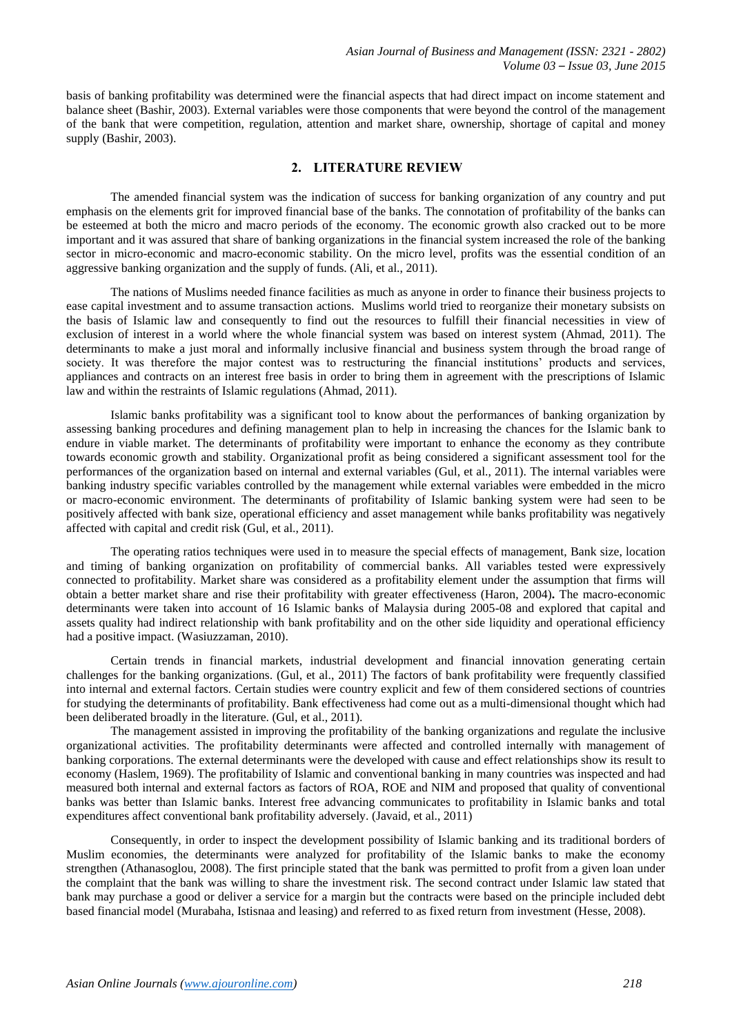basis of banking profitability was determined were the financial aspects that had direct impact on income statement and balance sheet (Bashir, 2003). External variables were those components that were beyond the control of the management of the bank that were competition, regulation, attention and market share, ownership, shortage of capital and money supply (Bashir, 2003).

## **2. LITERATURE REVIEW**

The amended financial system was the indication of success for banking organization of any country and put emphasis on the elements grit for improved financial base of the banks. The connotation of profitability of the banks can be esteemed at both the micro and macro periods of the economy. The economic growth also cracked out to be more important and it was assured that share of banking organizations in the financial system increased the role of the banking sector in micro-economic and macro-economic stability. On the micro level, profits was the essential condition of an aggressive banking organization and the supply of funds. (Ali, et al., 2011).

The nations of Muslims needed finance facilities as much as anyone in order to finance their business projects to ease capital investment and to assume transaction actions. Muslims world tried to reorganize their monetary subsists on the basis of Islamic law and consequently to find out the resources to fulfill their financial necessities in view of exclusion of interest in a world where the whole financial system was based on interest system (Ahmad, 2011). The determinants to make a just moral and informally inclusive financial and business system through the broad range of society. It was therefore the major contest was to restructuring the financial institutions' products and services, appliances and contracts on an interest free basis in order to bring them in agreement with the prescriptions of Islamic law and within the restraints of Islamic regulations (Ahmad, 2011).

Islamic banks profitability was a significant tool to know about the performances of banking organization by assessing banking procedures and defining management plan to help in increasing the chances for the Islamic bank to endure in viable market. The determinants of profitability were important to enhance the economy as they contribute towards economic growth and stability. Organizational profit as being considered a significant assessment tool for the performances of the organization based on internal and external variables (Gul, et al., 2011). The internal variables were banking industry specific variables controlled by the management while external variables were embedded in the micro or macro-economic environment. The determinants of profitability of Islamic banking system were had seen to be positively affected with bank size, operational efficiency and asset management while banks profitability was negatively affected with capital and credit risk (Gul, et al., 2011).

The operating ratios techniques were used in to measure the special effects of management, Bank size, location and timing of banking organization on profitability of commercial banks. All variables tested were expressively connected to profitability. Market share was considered as a profitability element under the assumption that firms will obtain a better market share and rise their profitability with greater effectiveness (Haron, 2004)**.** The macro-economic determinants were taken into account of 16 Islamic banks of Malaysia during 2005-08 and explored that capital and assets quality had indirect relationship with bank profitability and on the other side liquidity and operational efficiency had a positive impact. (Wasiuzzaman, 2010).

Certain trends in financial markets, industrial development and financial innovation generating certain challenges for the banking organizations. (Gul, et al., 2011) The factors of bank profitability were frequently classified into internal and external factors. Certain studies were country explicit and few of them considered sections of countries for studying the determinants of profitability. Bank effectiveness had come out as a multi-dimensional thought which had been deliberated broadly in the literature. (Gul, et al., 2011).

The management assisted in improving the profitability of the banking organizations and regulate the inclusive organizational activities. The profitability determinants were affected and controlled internally with management of banking corporations. The external determinants were the developed with cause and effect relationships show its result to economy (Haslem, 1969). The profitability of Islamic and conventional banking in many countries was inspected and had measured both internal and external factors as factors of ROA, ROE and NIM and proposed that quality of conventional banks was better than Islamic banks. Interest free advancing communicates to profitability in Islamic banks and total expenditures affect conventional bank profitability adversely. (Javaid, et al., 2011)

Consequently, in order to inspect the development possibility of Islamic banking and its traditional borders of Muslim economies, the determinants were analyzed for profitability of the Islamic banks to make the economy strengthen (Athanasoglou, 2008). The first principle stated that the bank was permitted to profit from a given loan under the complaint that the bank was willing to share the investment risk. The second contract under Islamic law stated that bank may purchase a good or deliver a service for a margin but the contracts were based on the principle included debt based financial model (Murabaha, Istisnaa and leasing) and referred to as fixed return from investment (Hesse, 2008).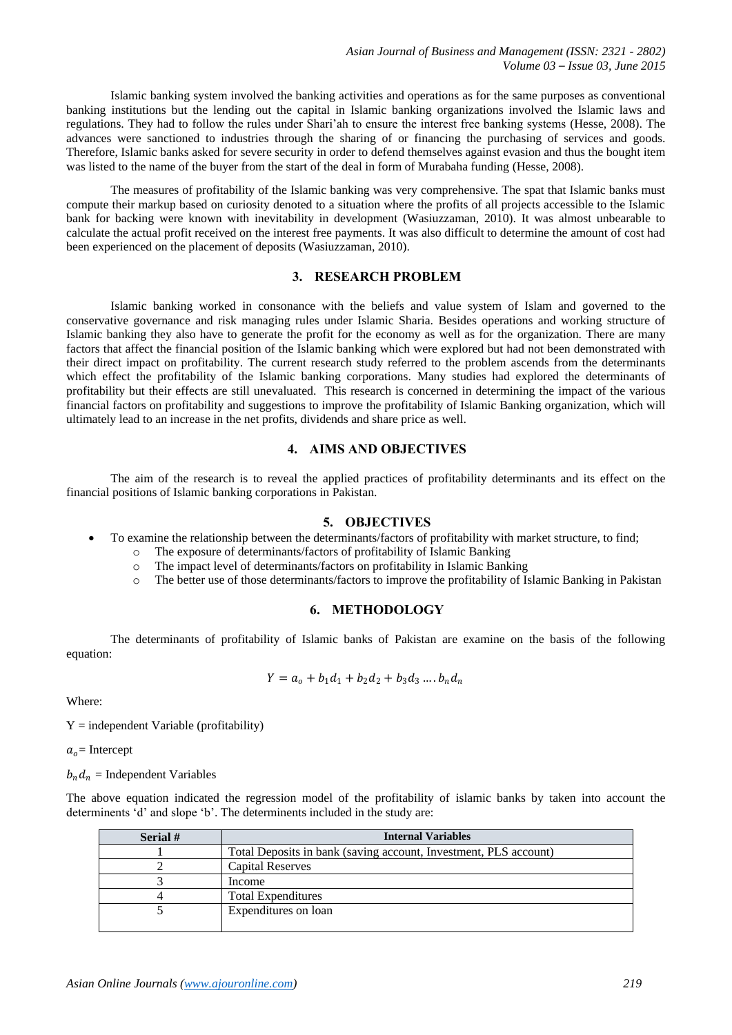Islamic banking system involved the banking activities and operations as for the same purposes as conventional banking institutions but the lending out the capital in Islamic banking organizations involved the Islamic laws and regulations. They had to follow the rules under Shari'ah to ensure the interest free banking systems (Hesse, 2008). The advances were sanctioned to industries through the sharing of or financing the purchasing of services and goods. Therefore, Islamic banks asked for severe security in order to defend themselves against evasion and thus the bought item was listed to the name of the buyer from the start of the deal in form of Murabaha funding (Hesse, 2008).

The measures of profitability of the Islamic banking was very comprehensive. The spat that Islamic banks must compute their markup based on curiosity denoted to a situation where the profits of all projects accessible to the Islamic bank for backing were known with inevitability in development (Wasiuzzaman, 2010). It was almost unbearable to calculate the actual profit received on the interest free payments. It was also difficult to determine the amount of cost had been experienced on the placement of deposits (Wasiuzzaman, 2010).

# **3. RESEARCH PROBLEM**

Islamic banking worked in consonance with the beliefs and value system of Islam and governed to the conservative governance and risk managing rules under Islamic Sharia. Besides operations and working structure of Islamic banking they also have to generate the profit for the economy as well as for the organization. There are many factors that affect the financial position of the Islamic banking which were explored but had not been demonstrated with their direct impact on profitability. The current research study referred to the problem ascends from the determinants which effect the profitability of the Islamic banking corporations. Many studies had explored the determinants of profitability but their effects are still unevaluated. This research is concerned in determining the impact of the various financial factors on profitability and suggestions to improve the profitability of Islamic Banking organization, which will ultimately lead to an increase in the net profits, dividends and share price as well.

## **4. AIMS AND OBJECTIVES**

The aim of the research is to reveal the applied practices of profitability determinants and its effect on the financial positions of Islamic banking corporations in Pakistan.

#### **5. OBJECTIVES**

- To examine the relationship between the determinants/factors of profitability with market structure, to find;
	- o The exposure of determinants/factors of profitability of Islamic Banking
	- o The impact level of determinants/factors on profitability in Islamic Banking
	- o The better use of those determinants/factors to improve the profitability of Islamic Banking in Pakistan

## **6. METHODOLOGY**

The determinants of profitability of Islamic banks of Pakistan are examine on the basis of the following equation:

$$
Y = a_o + b_1 d_1 + b_2 d_2 + b_3 d_3 \dots b_n d_n
$$

Where:

 $Y =$  independent Variable (profitability)

 $a<sub>o</sub>$  = Intercept

 $b_n d_n$  = Independent Variables

The above equation indicated the regression model of the profitability of islamic banks by taken into account the determinents 'd' and slope 'b'. The determinents included in the study are:

| Serial # | <b>Internal Variables</b>                                        |
|----------|------------------------------------------------------------------|
|          | Total Deposits in bank (saving account, Investment, PLS account) |
|          | <b>Capital Reserves</b>                                          |
|          | Income                                                           |
|          | <b>Total Expenditures</b>                                        |
|          | Expenditures on loan                                             |
|          |                                                                  |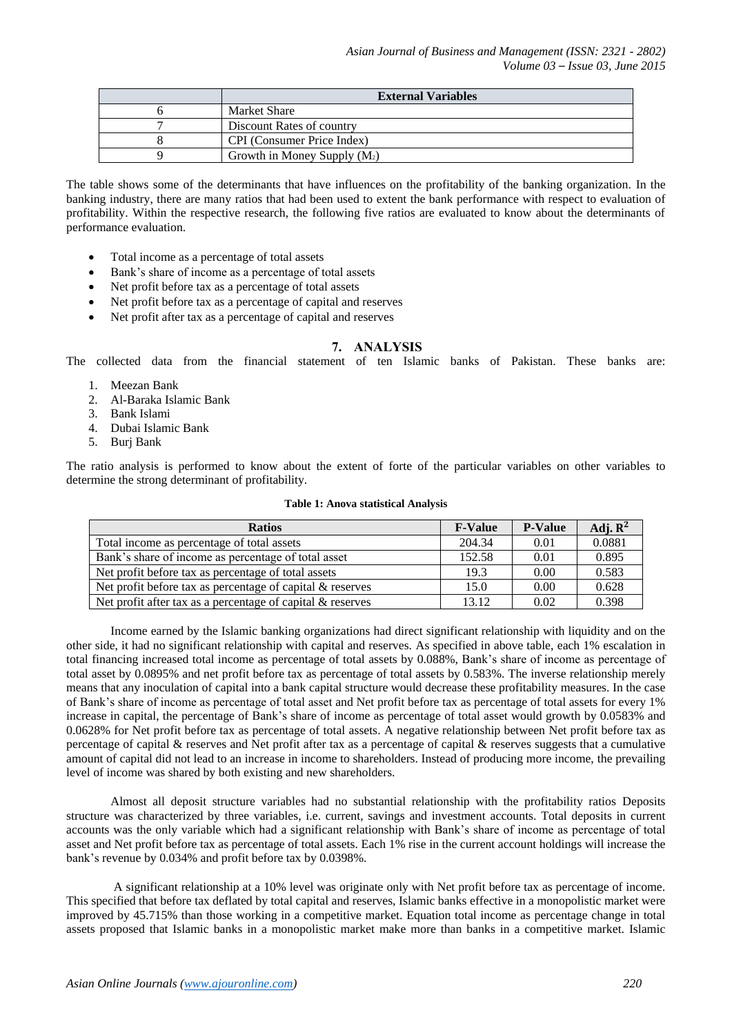| <b>External Variables</b>      |  |
|--------------------------------|--|
| Market Share                   |  |
| Discount Rates of country      |  |
| CPI (Consumer Price Index)     |  |
| Growth in Money Supply $(M_2)$ |  |

The table shows some of the determinants that have influences on the profitability of the banking organization. In the banking industry, there are many ratios that had been used to extent the bank performance with respect to evaluation of profitability. Within the respective research, the following five ratios are evaluated to know about the determinants of performance evaluation.

- Total income as a percentage of total assets
- Bank's share of income as a percentage of total assets
- Net profit before tax as a percentage of total assets
- Net profit before tax as a percentage of capital and reserves
- Net profit after tax as a percentage of capital and reserves

#### **7. ANALYSIS**

The collected data from the financial statement of ten Islamic banks of Pakistan. These banks are:

- 1. Meezan Bank
- 2. Al-Baraka Islamic Bank
- 3. Bank Islami
- 4. Dubai Islamic Bank
- 5. Burj Bank

The ratio analysis is performed to know about the extent of forte of the particular variables on other variables to determine the strong determinant of profitability.

#### **Table 1: Anova statistical Analysis**

| <b>Ratios</b>                                                | <b>F-Value</b> | <b>P-Value</b> | Adj. $\mathbb{R}^2$ |
|--------------------------------------------------------------|----------------|----------------|---------------------|
| Total income as percentage of total assets                   | 204.34         | 0.01           | 0.0881              |
| Bank's share of income as percentage of total asset          | 152.58         | 0.01           | 0.895               |
| Net profit before tax as percentage of total assets          | 19.3           | 0.00           | 0.583               |
| Net profit before tax as percentage of capital $\&$ reserves | 15.0           | 0.00           | 0.628               |
| Net profit after tax as a percentage of capital & reserves   | 13.12          | 0.02           | 0.398               |

Income earned by the Islamic banking organizations had direct significant relationship with liquidity and on the other side, it had no significant relationship with capital and reserves. As specified in above table, each 1% escalation in total financing increased total income as percentage of total assets by 0.088%, Bank's share of income as percentage of total asset by 0.0895% and net profit before tax as percentage of total assets by 0.583%. The inverse relationship merely means that any inoculation of capital into a bank capital structure would decrease these profitability measures. In the case of Bank's share of income as percentage of total asset and Net profit before tax as percentage of total assets for every 1% increase in capital, the percentage of Bank's share of income as percentage of total asset would growth by 0.0583% and 0.0628% for Net profit before tax as percentage of total assets. A negative relationship between Net profit before tax as percentage of capital & reserves and Net profit after tax as a percentage of capital & reserves suggests that a cumulative amount of capital did not lead to an increase in income to shareholders. Instead of producing more income, the prevailing level of income was shared by both existing and new shareholders.

Almost all deposit structure variables had no substantial relationship with the profitability ratios Deposits structure was characterized by three variables, i.e. current, savings and investment accounts. Total deposits in current accounts was the only variable which had a significant relationship with Bank's share of income as percentage of total asset and Net profit before tax as percentage of total assets. Each 1% rise in the current account holdings will increase the bank's revenue by 0.034% and profit before tax by 0.0398%.

A significant relationship at a 10% level was originate only with Net profit before tax as percentage of income. This specified that before tax deflated by total capital and reserves, Islamic banks effective in a monopolistic market were improved by 45.715% than those working in a competitive market. Equation total income as percentage change in total assets proposed that Islamic banks in a monopolistic market make more than banks in a competitive market. Islamic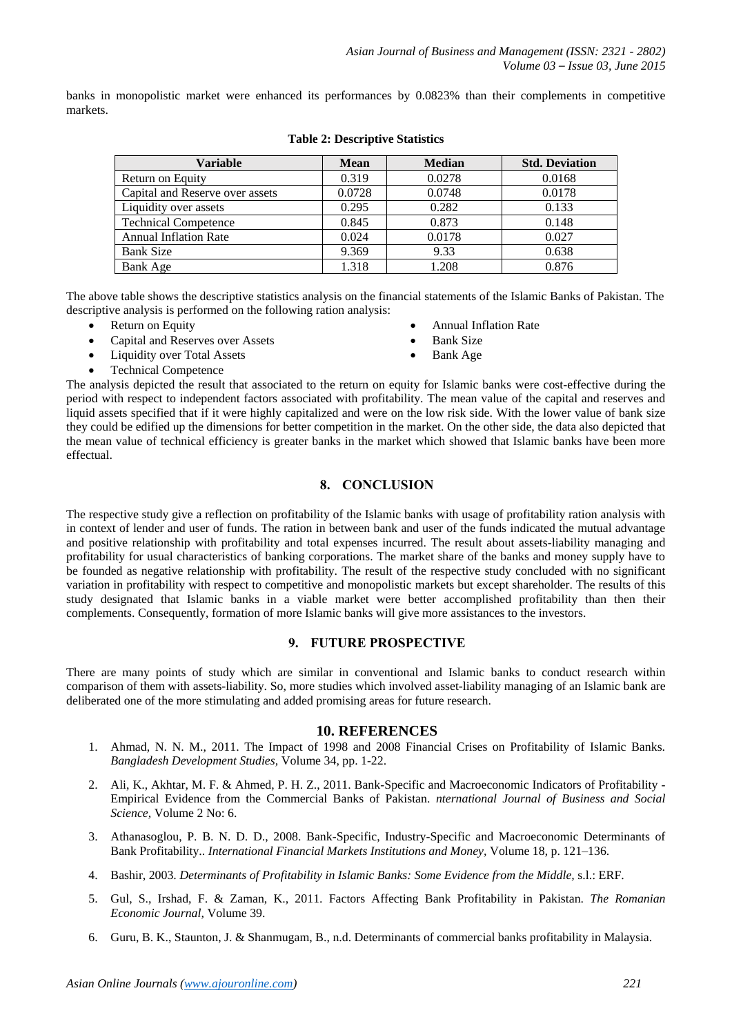banks in monopolistic market were enhanced its performances by 0.0823% than their complements in competitive markets.

| <b>Variable</b>                 | <b>Mean</b> | <b>Median</b> | <b>Std. Deviation</b> |
|---------------------------------|-------------|---------------|-----------------------|
| Return on Equity                | 0.319       | 0.0278        | 0.0168                |
| Capital and Reserve over assets | 0.0728      | 0.0748        | 0.0178                |
| Liquidity over assets           | 0.295       | 0.282         | 0.133                 |
| <b>Technical Competence</b>     | 0.845       | 0.873         | 0.148                 |
| <b>Annual Inflation Rate</b>    | 0.024       | 0.0178        | 0.027                 |
| <b>Bank Size</b>                | 9.369       | 9.33          | 0.638                 |
| Bank Age                        | 1.318       | 1.208         | 0.876                 |

## **Table 2: Descriptive Statistics**

The above table shows the descriptive statistics analysis on the financial statements of the Islamic Banks of Pakistan. The descriptive analysis is performed on the following ration analysis:

- Return on Equity
- Capital and Reserves over Assets
- Liquidity over Total Assets
- Annual Inflation Rate
- Bank Size
	- Bank Age

Technical Competence

The analysis depicted the result that associated to the return on equity for Islamic banks were cost-effective during the period with respect to independent factors associated with profitability. The mean value of the capital and reserves and liquid assets specified that if it were highly capitalized and were on the low risk side. With the lower value of bank size they could be edified up the dimensions for better competition in the market. On the other side, the data also depicted that the mean value of technical efficiency is greater banks in the market which showed that Islamic banks have been more effectual.

## **8. CONCLUSION**

The respective study give a reflection on profitability of the Islamic banks with usage of profitability ration analysis with in context of lender and user of funds. The ration in between bank and user of the funds indicated the mutual advantage and positive relationship with profitability and total expenses incurred. The result about assets-liability managing and profitability for usual characteristics of banking corporations. The market share of the banks and money supply have to be founded as negative relationship with profitability. The result of the respective study concluded with no significant variation in profitability with respect to competitive and monopolistic markets but except shareholder. The results of this study designated that Islamic banks in a viable market were better accomplished profitability than then their complements. Consequently, formation of more Islamic banks will give more assistances to the investors.

## **9. FUTURE PROSPECTIVE**

There are many points of study which are similar in conventional and Islamic banks to conduct research within comparison of them with assets-liability. So, more studies which involved asset-liability managing of an Islamic bank are deliberated one of the more stimulating and added promising areas for future research.

## **10. REFERENCES**

- 1. Ahmad, N. N. M., 2011. The Impact of 1998 and 2008 Financial Crises on Profitability of Islamic Banks. *Bangladesh Development Studies,* Volume 34, pp. 1-22.
- 2. Ali, K., Akhtar, M. F. & Ahmed, P. H. Z., 2011. Bank-Specific and Macroeconomic Indicators of Profitability Empirical Evidence from the Commercial Banks of Pakistan. *nternational Journal of Business and Social Science,* Volume 2 No: 6.
- 3. Athanasoglou, P. B. N. D. D., 2008. Bank-Specific, Industry-Specific and Macroeconomic Determinants of Bank Profitability.. *International Financial Markets Institutions and Money,* Volume 18, p. 121–136.
- 4. Bashir, 2003. *Determinants of Profitability in Islamic Banks: Some Evidence from the Middle,* s.l.: ERF.
- 5. Gul, S., Irshad, F. & Zaman, K., 2011. Factors Affecting Bank Profitability in Pakistan. *The Romanian Economic Journal,* Volume 39.
- 6. Guru, B. K., Staunton, J. & Shanmugam, B., n.d. Determinants of commercial banks profitability in Malaysia.